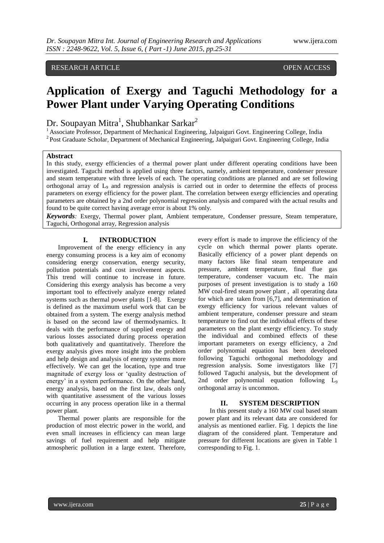## RESEARCH ARTICLE OPEN ACCESS

# **Application of Exergy and Taguchi Methodology for a Power Plant under Varying Operating Conditions**

Dr. Soupayan Mitra<sup>1</sup>, Shubhankar Sarkar<sup>2</sup>

<sup>1</sup> Associate Professor, Department of Mechanical Engineering, Jalpaiguri Govt. Engineering College, India <sup>2</sup> Post Graduate Scholar, Department of Mechanical Engineering, Jalpaiguri Govt. Engineering College, India

#### **Abstract**

In this study, exergy efficiencies of a thermal power plant under different operating conditions have been investigated. Taguchi method is applied using three factors, namely, ambient temperature, condenser pressure and steam temperature with three levels of each. The operating conditions are planned and are set following orthogonal array of L<sup>9</sup> and regression analysis is carried out in order to determine the effects of process parameters on exergy efficiency for the power plant. The correlation between exergy efficiencies and operating parameters are obtained by a 2nd order polynomial regression analysis and compared with the actual results and found to be quite correct having average error is about 1% only.

*Keywords:* Exergy, Thermal power plant, Ambient temperature, Condenser pressure, Steam temperature, Taguchi, Orthogonal array, Regression analysis

#### **I. INTRODUCTION**

Improvement of the energy efficiency in any energy consuming process is a key aim of economy considering energy conservation, energy security, pollution potentials and cost involvement aspects. This trend will continue to increase in future. Considering this exergy analysis has become a very important tool to effectively analyze energy related systems such as thermal power plants [1-8]. Exergy is defined as the maximum useful work that can be obtained from a system. The exergy analysis method is based on the second law of thermodynamics. It deals with the performance of supplied energy and various losses associated during process operation both qualitatively and quantitatively. Therefore the exergy analysis gives more insight into the problem and help design and analysis of energy systems more effectively. We can get the location, type and true magnitude of exergy loss or 'quality destruction of energy' in a system performance. On the other hand, energy analysis, based on the first law, deals only with quantitative assessment of the various losses occurring in any process operation like in a thermal power plant.

Thermal power plants are responsible for the production of most electric power in the world, and even small increases in efficiency can mean large savings of fuel requirement and help mitigate atmospheric pollution in a large extent. Therefore, every effort is made to improve the efficiency of the cycle on which thermal power plants operate. Basically efficiency of a power plant depends on many factors like final steam temperature and pressure, ambient temperature, final flue gas temperature, condenser vacuum etc. The main purposes of present investigation is to study a 160 MW coal-fired steam power plant , all operating data for which are taken from [6,7], and determination of exergy efficiency for various relevant values of ambient temperature, condenser pressure and steam temperature to find out the individual effects of these parameters on the plant exergy efficiency. To study the individual and combined effects of these important parameters on exergy efficiency, a 2nd order polynomial equation has been developed following Taguchi orthogonal methodology and regression analysis. Some investigators like [7] followed Taguchi analysis, but the development of 2nd order polynomial equation following L<sub>9</sub> orthogonal array is uncommon.

#### **II. SYSTEM DESCRIPTION**

In this present study a 160 MW coal based steam power plant and its relevant data are considered for analysis as mentioned earlier. Fig. 1 depicts the line diagram of the considered plant. Temperature and pressure for different locations are given in Table 1 corresponding to Fig. 1.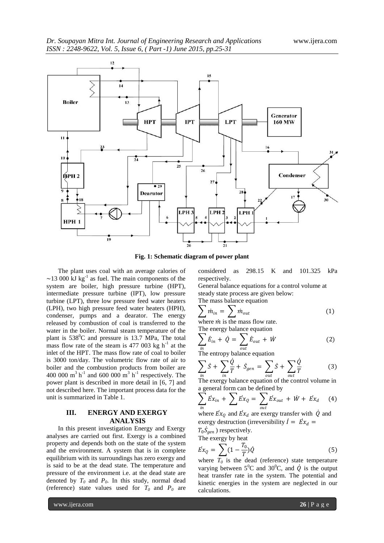

**Fig. 1: Schematic diagram of power plant**

The plant uses coal with an average calories of  $\sim$ 13 000 kJ kg<sup>-1</sup> as fuel. The main components of the system are boiler, high pressure turbine (HPT), intermediate pressure turbine (IPT), low pressure turbine (LPT), three low pressure feed water heaters (LPH), two high pressure feed water heaters (HPH), condenser, pumps and a dearator. The energy released by combustion of coal is transferred to the water in the boiler. Normal steam temperature of the plant is  $538^{\circ}$ C and pressure is 13.7 MPa, The total mass flow rate of the steam is  $477,003$  kg h<sup>-1</sup> at the inlet of the HPT. The mass flow rate of coal to boiler is 3000 ton/day. The volumetric flow rate of air to boiler and the combustion products from boiler are 400 000  $\text{m}^3 \text{ h}^{-1}$  and 600 000  $\text{m}^3 \text{ h}^{-1}$  respectively. The power plant is described in more detail in [6, 7] and not described here. The important process data for the unit is summarized in Table 1.

### **III. ENERGY AND EXERGY ANALYSIS**

In this present investigation Energy and Exergy analyses are carried out first. Exergy is a combined property and depends both on the state of the system and the environment. A system that is in complete equilibrium with its surroundings has zero exergy and is said to be at the dead state. The temperature and pressure of the environment i.e. at the dead state are denoted by  $T_0$  and  $P_0$ . In this study, normal dead (reference) state values used for  $T_0$  and  $P_0$  are

www.ijera.com **26** | P a g e

considered as 298.15 K and 101.325 kPa respectively.

General balance equations for a control volume at steady state process are given below: The mass balance equation

$$
\sum \dot{m}_{in} = \sum \dot{m}_{out} \tag{1}
$$

where  $\dot{m}$  is the mass flow rate. The energy balance equation

$$
\sum_{in} \vec{E}_{in} + \dot{Q} = \sum_{out} \vec{E}_{out} + \dot{W}
$$
 (2)

The entropy balance equation

$$
\sum_{in} \dot{S} + \sum_{in} \frac{\dot{Q}}{T} + \dot{S}_{gen} = \sum_{out} \dot{S} + \sum_{out} \frac{\dot{Q}}{T}
$$
(3)

 $\frac{in}{in}$   $\frac{in}{in}$   $\frac{out}{out}$   $\frac{out}{out}$   $\frac{out}{out}$   $\frac{out}{out}$   $\frac{out}{out}$   $\frac{out}{out}$   $\frac{out}{out}$   $\frac{out}{out}$   $\frac{out}{out}$   $\frac{out}{out}$   $\frac{out}{out}$   $\frac{out}{out}$   $\frac{out}{out}$   $\frac{out}{out}$   $\frac{out}{out}$   $\frac{out}{out}$   $\frac{out}{out}$   $\frac{out}{out}$   $\frac{out}{out}$   $\frac{out}{out}$  a general form can be defined by

$$
\sum_{in} \vec{E}x_{in} + \sum \vec{E}x_{Q} = \sum_{out} \vec{E}x_{out} + \vec{W} + \vec{E}x_{d}
$$
 (4)

where  $\vec{Ex}_{Q}$  and  $\vec{Ex}_{d}$  are exergy transfer with  $\dot{Q}$  and exergy destruction (irreversibility  $\dot{I} = \dot{E} x_d =$ 

 $T_0 \dot{S}_{gen}$ ) respectively.

The exergy by heat  
\n
$$
\vec{Ex}_Q = \sum (1 - \frac{T_0}{T}) \vec{Q}
$$
\n(5)

where  $T_0$  is the dead (reference) state temperature varying between  $5^0C$  and  $30^0C$ , and  $\dot{Q}$  is the output heat transfer rate in the system. The potential and kinetic energies in the system are neglected in our calculations.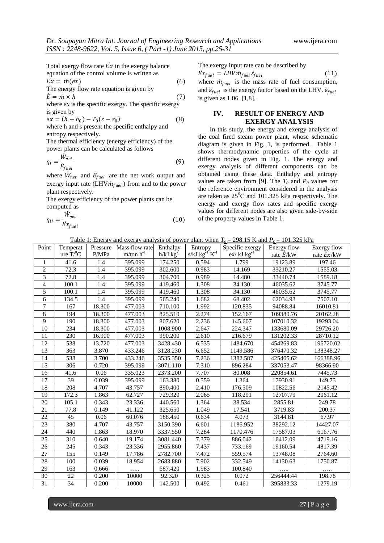Total exergy flow rate  $\vec{Ex}$  in the exergy balance equation of the control volume is written as

$$
\vec{Ex} = \dot{m}(ex)
$$
\nThe energy flow rate equation is given by\n
$$
\tag{6}
$$

$$
\dot{E} = \dot{m} \times \dot{h} \tag{7}
$$

where  $ex$  is the specific exergy. The specific exergy is given by

$$
ex = (h - h_0) - T_0(s - s_0)
$$
 (8)  
where h and s present the specific enthalpy and

where h and s present the specific enthalpy and entropy respectively.

The thermal efficiency (energy efficiency) of the power plants can be calculated as follows

$$
\eta_l = \frac{W_{net}}{\dot{E}_{fuel}}\tag{9}
$$

where  $\dot{W}_{net}$  and  $\dot{E}_{fuel}$  are the net work output and exergy input rate  $(LHV\dot{m}_{fuel})$  from and to the power plant respectively.

The exergy efficiency of the power plants can be computed as

$$
\eta_{II} = \frac{\dot{W}_{net}}{E x_{fuel}} \tag{10}
$$

The exergy input rate can be described by

is given as 1.06 [1,8].

 $\dot{Ex}_{fuel} = LHV\dot{m}_{fuel}\dot{\varepsilon}_{fuel}$  (11) where  $\dot{m}_{fuel}$  is the mass rate of fuel consumption, and  $\dot{\varepsilon}_{fuel}$  is the exergy factor based on the LHV.  $\dot{\varepsilon}_{fuel}$ 

#### **IV. RESULT OF ENERGY AND EXERGY ANALYSIS**

In this study, the energy and exergy analysis of the coal fired steam power plant, whose schematic diagram is given in Fig. 1, is performed. Table 1 shows thermodynamic properties of the cycle at different nodes given in Fig. 1. The energy and exergy analysis of different components can be obtained using these data. Enthalpy and entropy values are taken from [9]. The  $T_0$  and  $P_0$  values for the reference environment considered in the analysis are taken as  $25^{\circ}$ C and 101.325 kPa respectively. The energy and exergy flow rates and specific exergy values for different nodes are also given side-by-side of the property values in Table 1.

Table 1: Energy and exergy analysis of power plant when  $T_0 = 298.15$  K and  $P_0 = 101.325$  kPa

| Point                    | Temperat |        | Pressure Mass flow rate | Enthalpy         | Entropy                   | Specific exergy  | Energy flow       | Exergy flow        |
|--------------------------|----------|--------|-------------------------|------------------|---------------------------|------------------|-------------------|--------------------|
|                          | ure T/C  | P/MPa  | $m/ton h^{-1}$          | $h/kJ$ $kg^{-1}$ | s/kJ kg $^{-1}$ K $^{-1}$ | $ex/ kJ kg^{-1}$ | rate $\dot{E}/kW$ | rate $\vec{Ex}/kW$ |
| 1                        | 41.6     | 1.4    | 395.099                 | 174.250          | 0.594                     | 1.799            | 19123.89          | 197.46             |
| $\overline{2}$           | 72.3     | 1.4    | 395.099                 | 302.600          | 0.983                     | 14.169           | 33210.27          | 1555.03            |
| 3                        | 72.8     | 1.4    | 395.099                 | 304.700          | 0.989                     | 14.480           | 33440.74          | 1589.18            |
| $\overline{\mathcal{L}}$ | 100.1    | 1.4    | 395.099                 | 419.460          | 1.308                     | 34.130           | 46035.62          | 3745.77            |
| 5                        | 100.1    | 1.4    | 395.099                 | 419.460          | 1.308                     | 34.130           | 46035.62          | 3745.77            |
| 6                        | 134.5    | 1.4    | 395.099                 | 565.240          | 1.682                     | 68.402           | 62034.93          | 7507.10            |
| $\overline{7}$           | 167      | 18.300 | 477.003                 | 710.100          | 1.992                     | 120.835          | 94088.84          | 16010.81           |
| 8                        | 194      | 18.300 | 477.003                 | 825.510          | 2.274                     | 152.167          | 109380.76         | 20162.28           |
| 9                        | 190      | 18.300 | 477.003                 | 807.620          | 2.236                     | 145.607          | 107010.32         | 19293.04           |
| 10                       | 234      | 18.300 | 477.003                 | 1008.900         | 2.647                     | 224.347          | 133680.09         | 29726.20           |
| 11                       | 230      | 16.900 | 477.003                 | 990.200          | 2.610                     | 216.679          | 131202.33         | 28710.12           |
| 12                       | 538      | 13.720 | 477.003                 | 3428.430         | 6.535                     | 1484.670         | 454269.83         | 196720.02          |
| 13                       | 363      | 3.870  | 433.246                 | 3128.230         | 6.652                     | 1149.586         | 376470.32         | 138348.27          |
| 14                       | 538      | 3.700  | 433.246                 | 3535.350         | 7.236                     | 1382.587         | 425465.62         | 166388.96          |
| 15                       | 306      | 0.720  | 395.099                 | 3071.110         | 7.310                     | 896.284          | 337053.47         | 98366.90           |
| 16                       | 41.6     | 0.06   | 335.023                 | 2373.200         | 7.707                     | 80.008           | 220854.61         | 7445.73            |
| 17                       | 39       | 0.039  | 395.099                 | 163.380          | 0.559                     | 1.364            | 17930.91          | 149.75             |
| 18                       | 208      | 4.707  | 43.757                  | 890.400          | 2.410                     | 176.509          | 10822.56          | 2145.42            |
| 19                       | 172.3    | 1.863  | 62.727                  | 729.320          | 2.065                     | 118.291          | 12707.79          | 2061.12            |
| 20                       | 105.1    | 0.343  | 23.336                  | 440.560          | 1.364                     | 38.534           | 2855.81           | 249.78             |
| 21                       | 77.8     | 0.149  | 41.122                  | 325.650          | 1.049                     | 17.541           | 3719.83           | 200.37             |
| 22                       | 45       | 0.06   | 60.076                  | 188.450          | 0.634                     | 4.073            | 3144.81           | 67.97              |
| 23                       | 380      | 4.707  | 43.757                  | 3150.390         | 6.601                     | 1186.952         | 38292.12          | 14427.07           |
| 24                       | 440      | 1.863  | 18.970                  | 3337.550         | 7.284                     | 1170.476         | 17587.03          | 6167.76            |
| 25                       | 310      | 0.640  | 19.174                  | 3081.440         | 7.379                     | 886.042          | 16412.09          | 4719.16            |
| 26                       | 245      | 0.343  | 23.336                  | 2955.860         | 7.437                     | 733.169          | 19160.54          | 4817.39            |
| 27                       | 155      | 0.149  | 17.786                  | 2782.700         | 7.472                     | 559.574          | 13748.08          | 2764.60            |
| 28                       | 100      | 0.039  | 18.954                  | 2683.880         | 7.902                     | 332.549          | 14130.63          | 1750.87            |
| 29                       | 163      | 0.666  | .                       | 687.420          | 1.983                     | 100.840          | .                 | .                  |
| 30                       | 22       | 0.200  | 10000                   | 92.320           | 0.325                     | 0.072            | 256444.44         | 198.78             |
| 31                       | 34       | 0.200  | 10000                   | 142.500          | 0.492                     | 0.461            | 395833.33         | 1279.19            |

www.ijera.com **27** | P a g e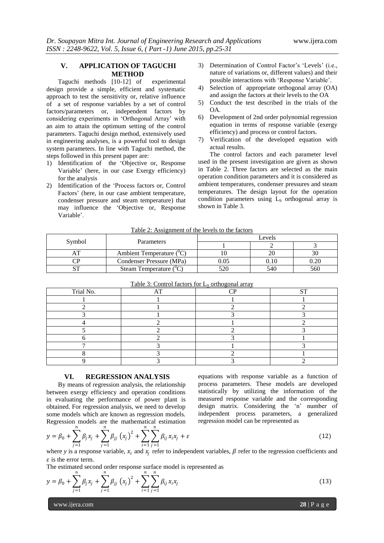#### **V. APPLICATION OF TAGUCHI METHOD**

Taguchi methods [10-12] of experimental design provide a simple, efficient and systematic approach to test the sensitivity or, relative influence of a set of response variables by a set of control factors/parameters or, independent factors by considering experiments in 'Orthogonal Array' with an aim to attain the optimum setting of the control parameters. Taguchi design method, extensively used in engineering analyses, is a powerful tool to design system parameters. In line with Taguchi method, the steps followed in this present paper are:

- 1) Identification of the 'Objective or, Response Variable' (here, in our case Exergy efficiency) for the analysis
- 2) Identification of the 'Process factors or, Control Factors' (here, in our case ambient temperature, condenser pressure and steam temperature) that may influence the 'Objective or, Response Variable'.
- 3) Determination of Control Factor's 'Levels' (i.e., nature of variations or, different values) and their possible interactions with 'Response Variable'.
- 4) Selection of appropriate orthogonal array (OA) and assign the factors at their levels to the OA
- 5) Conduct the test described in the trials of the OA.
- 6) Development of 2nd order polynomial regression equation in terms of response variable (exergy efficiency) and process or control factors.
- 7) Verification of the developed equation with actual results.

The control factors and each parameter level used in the present investigation are given as shown in Table 2. Three factors are selected as the main operation condition parameters and it is considered as ambient temperatures, condenser pressures and steam temperatures. The design layout for the operation condition parameters using  $L<sub>9</sub>$  orthogonal array is shown in Table 3.

| Table 2: Assignment of the levels to the factors |    |                                       |        |      |      |  |  |
|--------------------------------------------------|----|---------------------------------------|--------|------|------|--|--|
| Symbol                                           |    |                                       | Levels |      |      |  |  |
|                                                  |    | <b>Parameters</b>                     |        |      |      |  |  |
|                                                  |    | Ambient Temperature ( <sup>"</sup> C" |        | 20   |      |  |  |
|                                                  | ™  | Condenser Pressure (MPa)              | 0.05   | 0.10 | 0.20 |  |  |
|                                                  | αm | Steam Temperature $C^{\prime}$        |        | 540  | 560  |  |  |

| ◡         | $\alpha$                                            | $\mathsf{v}\mathsf{v}\mathsf{v}$ | $v \cdot v$ | $\mathsf{v} \cdot \mathsf{v}$ |
|-----------|-----------------------------------------------------|----------------------------------|-------------|-------------------------------|
|           | Steam Temperature ( <sup>"</sup> C                  |                                  | 540         | 560                           |
|           |                                                     |                                  |             |                               |
|           | Table 3: Control factors for $L_9$ orthogonal array |                                  |             |                               |
| Trial No. |                                                     |                                  |             |                               |
|           |                                                     |                                  |             |                               |
|           |                                                     |                                  |             |                               |
|           |                                                     |                                  |             |                               |

 $3 \hspace{1.5cm} 1 \hspace{1.5cm} 3 \hspace{1.5cm} 3$ 4 2 1 2 2  $5$  2 2 2 3 6 2 3 3 1 7 3 1 3 8 2 1 9 3 3 3 2

# **VI. REGRESSION ANALYSIS**

By means of regression analysis, the relationship between exergy efficiency and operation conditions in evaluating the performance of power plant is obtained. For regression analysis, we need to develop some models which are known as regression models. Regression models are the mathematical estimation

equations with response variable as a function of process parameters. These models are developed statistically by utilizing the information of the measured response variable and the corresponding design matrix. Considering the 'n' number of independent process parameters, a generalized regression model can be represented as

$$
y = \beta_0 + \sum_{j=1}^n \beta_j x_j + \sum_{j=1}^n \beta_{jj} (x_j)^2 + \sum_{i=1}^n \sum_{j=1}^n \beta_{ij} x_i x_j + \varepsilon
$$
\n(12)

where y is a response variable,  $x_i$  and  $x_j$  refer to independent variables,  $\beta$  refer to the regression coefficients and  $\epsilon$  is the error term.

The estimated second order response surface model is represented as

$$
y = \beta_0 + \sum_{j=1}^n \beta_j x_j + \sum_{j=1}^n \beta_{jj} (x_j)^2 + \sum_{i=1}^n \sum_{j=1}^n \beta_{ij} x_i x_j
$$
 (13)

www.ijera.com **28** | P a g e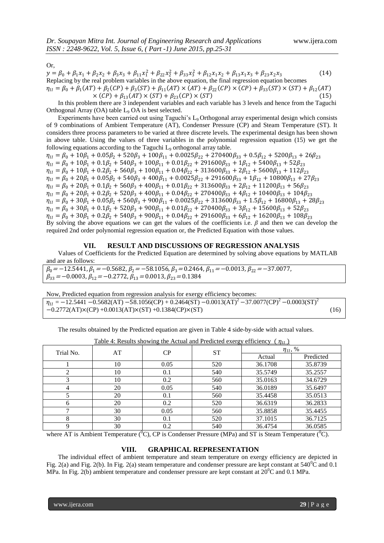Or,

 $y = \beta_0 + \beta_1 x_1 + \beta_2 x_2 + \beta_3 x_3 + \beta_{11} x_1^2 + \beta_{22} x_2^2 + \beta_{33} x_3^2 + \beta_{12} x_1 x_2 + \beta_{13} x_1 x_3 + \beta_{23} x_2 x_3$  (14) Replacing by the real problem variables in the above equation, the final regression equation becomes  $\eta_{II} = \beta_0 + \beta_1 (AT) + \beta_2 (CP) + \beta_3 (ST) + \beta_{11} (AT) \times (AT) + \beta_{22} (CP) \times (CP) + \beta_{33} (ST) \times (ST) + \beta_{12} (AT)$  $\times$  (CP) +  $\beta_{13}(AT) \times (ST) + \beta_{23}(CP) \times (ST)$  (15)

In this problem there are 3 independent variables and each variable has 3 levels and hence from the Taguchi Orthogonal Array  $(OA)$  table  $L_9$   $OA$  is best selected.

Experiments have been carried out using Taguchi's L9 Orthogonal array experimental design which consists of 9 combinations of Ambient Temperature (AT), Condenser Pressure (CP) and Steam Temperature (ST). It considers three process parameters to be varied at three discrete levels. The experimental design has been shown in above table. Using the values of three variables in the polynomial regression equation (15) we get the following equations according to the Taguchi L<sub>9</sub> orthogonal array table.

 $\eta_{II} = \beta_0 + 10\beta_1 + 0.05\beta_2 + 520\beta_3 + 100\beta_{11} + 0.0025\beta_{22} + 270400\beta_{33} + 0.5\beta_{12} + 5200\beta_{13} + 26\beta_{23}$  $\eta_{II} = \beta_0 + 10\beta_1 + 0.1\beta_2 + 540\beta_3 + 100\beta_{11} + 0.01\beta_{22} + 291600\beta_{33} + 1\beta_{12} + 5400\beta_{13} + 52\beta_{23}$  $\eta_{II} = \beta_0 + 10\beta_1 + 0.2\beta_2 + 560\beta_3 + 100\beta_{11} + 0.04\beta_{22} + 313600\beta_{33} + 2\beta_{12} + 5600\beta_{13} + 112\beta_{23}$  $\eta_{II} = \beta_0 + 20\beta_1 + 0.05\beta_2 + 540\beta_3 + 400\beta_{11} + 0.0025\beta_{22} + 291600\beta_{33} + 1\beta_{12} + 10800\beta_{13} + 27\beta_{23}$  $\eta_{II} = \beta_0 + 20\beta_1 + 0.1\beta_2 + 560\beta_3 + 400\beta_{11} + 0.01\beta_{22} + 313600\beta_{33} + 2\beta_{12} + 11200\beta_{13} + 56\beta_{23}$  $\eta_{II} = \beta_0 + 20\beta_1 + 0.2\beta_2 + 520\beta_3 + 400\beta_{11} + 0.04\beta_{22} + 270400\beta_{33} + 4\beta_{12} + 10400\beta_{13} + 104\beta_{23}$  $\eta_{II} = \beta_0 + 30\beta_1 + 0.05\beta_2 + 560\beta_3 + 900\beta_{11} + 0.0025\beta_{22} + 313600\beta_{33} + 1.5\beta_{12} + 16800\beta_{13} + 28\beta_{23}$  $\eta_{II} = \beta_0 + 30\beta_1 + 0.1\beta_2 + 520\beta_3 + 900\beta_{11} + 0.01\beta_{22} + 270400\beta_{33} + 3\beta_{12} + 15600\beta_{13} + 52\beta_{23}$  $\eta_{II} = \beta_0 + 30\beta_1 + 0.2\beta_2 + 540\beta_3 + 900\beta_{11} + 0.04\beta_{22} + 291600\beta_{33} + 6\beta_{12} + 16200\beta_{13} + 108\beta_{23}$ By solving the above equations we can get the values of the coefficients i.e. *β* and then we can develop the required 2nd order polynomial regression equation or, the Predicted Equation with those values.

#### **VII. RESULT AND DISCUSSIONS OF REGRESSION ANALYSIS**

Values of Coefficients for the Predicted Equation are determined by solving above equations by MATLAB and are as follows:

 $\beta_0$ =−12.5441,  $\beta_1$ =−0.5682,  $\beta_2$ =−58.1056,  $\beta_3$ =0.2464,  $\beta_{11}$ =−0.0013,  $\beta_{22}$ =−37.0077,  $\beta_{33} = -0.0003$ ,  $\beta_{12} = -0.2772$ ,  $\beta_{13} = 0.0013$ ,  $\beta_{23} = 0.1384$ 

Now, Predicted equation from regression analysis for exergy efficiency becomes:  $\eta_{II} = -12.5441 - 0.5682(AT) - 58.1056(CP) + 0.2464(ST) - 0.0013(AT)^{2} - 37.0077(CP)^{2} - 0.0003(ST)^{2}$ −0.2772(AT)×(CP) +0.0013(AT)×(ST) +0.1384(CP)×(ST) (16)

The results obtained by the Predicted equation are given in Table 4 side-by-side with actual values.

| Trial No. | AT | CP   | ST  | $\eta_{II}, \, \%$ |           |  |
|-----------|----|------|-----|--------------------|-----------|--|
|           |    |      |     | Actual             | Predicted |  |
|           | 10 | 0.05 | 520 | 36.1708            | 35.8739   |  |
|           | 10 | 0.1  | 540 | 35.5749            | 35.2557   |  |
|           | 10 | 0.2  | 560 | 35.0163            | 34.6729   |  |
|           | 20 | 0.05 | 540 | 36.0189            | 35.6497   |  |
|           | 20 | 0.1  | 560 | 35.4458            | 35.0513   |  |
| 6         | 20 | 0.2  | 520 | 36.6319            | 36.2833   |  |
|           | 30 | 0.05 | 560 | 35.8858            | 35.4455   |  |
| 8         | 30 | 0.1  | 520 | 37.1015            | 36.7125   |  |
| Q         | 30 | 0.2  | 540 | 36.4754            | 36.0585   |  |

Table 4: Results showing the Actual and Predicted exergy efficiency ( $\eta_{II}$ )

where AT is Ambient Temperature  $({}^{0}C)$ , CP is Condenser Pressure (MPa) and ST is Steam Temperature  $({}^{0}C)$ .

### **VIII. GRAPHICAL REPRESENTATION**

The individual effect of ambient temperature and steam temperature on exergy efficiency are depicted in Fig. 2(a) and Fig. 2(b). In Fig. 2(a) steam temperature and condenser pressure are kept constant at  $540^{\circ}$ C and 0.1 MPa. In Fig. 2(b) ambient temperature and condenser pressure are kept constant at  $20^{\circ}$ C and 0.1 MPa.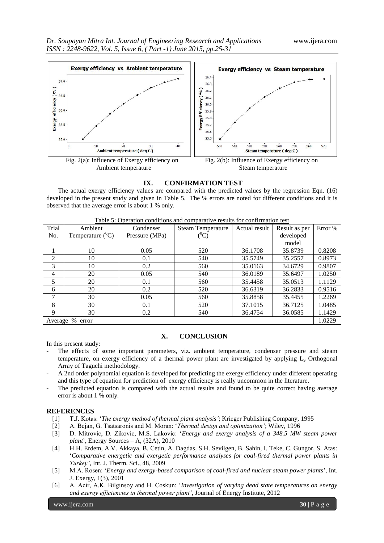

#### **IX. CONFIRMATION TEST**

The actual exergy efficiency values are compared with the predicted values by the regression Eqn. (16) developed in the present study and given in Table 5. The % errors are noted for different conditions and it is observed that the average error is about 1 % only.

| Trial                              | <u>.</u><br>Ambient | Condenser      | <b>Steam Temperature</b> | Actual result | Result as per | Error % |  |
|------------------------------------|---------------------|----------------|--------------------------|---------------|---------------|---------|--|
| No.                                | Temperature $(^0C)$ | Pressure (MPa) | $(^0\mathrm{C})$         |               | developed     |         |  |
|                                    |                     |                |                          |               | model         |         |  |
|                                    | 10                  | 0.05           | 520                      | 36.1708       | 35.8739       | 0.8208  |  |
| $\overline{2}$                     | 10                  | 0.1            | 540                      | 35.5749       | 35.2557       | 0.8973  |  |
| 3                                  | 10                  | 0.2            | 560                      | 35.0163       | 34.6729       | 0.9807  |  |
| 4                                  | 20                  | 0.05           | 540                      | 36.0189       | 35.6497       | 1.0250  |  |
| 5                                  | 20                  | 0.1            | 560                      | 35.4458       | 35.0513       | 1.1129  |  |
| 6                                  | 20                  | 0.2            | 520                      | 36.6319       | 36.2833       | 0.9516  |  |
| 7                                  | 30                  | 0.05           | 560                      | 35.8858       | 35.4455       | 1.2269  |  |
| 8                                  | 30                  | 0.1            | 520                      | 37.1015       | 36.7125       | 1.0485  |  |
| 9                                  | 30                  | 0.2            | 540                      | 36.4754       | 36.0585       | 1.1429  |  |
| 1.0229<br>$\%$<br>Average<br>error |                     |                |                          |               |               |         |  |

Table 5: Operation conditions and comparative results for confirmation test

#### **X. CONCLUSION**

In this present study:

- The effects of some important parameters, viz. ambient temperature, condenser pressure and steam temperature, on exergy efficiency of a thermal power plant are investigated by applying L<sup>9</sup> Orthogonal Array of Taguchi methodology.
- A 2nd order polynomial equation is developed for predicting the exergy efficiency under different operating and this type of equation for prediction of exergy efficiency is really uncommon in the literature.
- The predicted equation is compared with the actual results and found to be quite correct having average error is about 1 % only.

#### **REFERENCES**

- [1] T.J. Kotas: '*The exergy method of thermal plant analysis'*; Krieger Publishing Company, 1995
- [2] A. Bejan, G. Tsatsaronis and M. Moran: '*Thermal design and optimization'*; Wiley, 1996
- [3] D. Mitrovic, D. Zikovic, M.S. Lakovic: '*Energy and exergy analysis of a 348.5 MW steam power plant*', Energy Sources – A, (32A), 2010
- [4] H.H. Erdem, A.V. Akkaya, B. Cetin, A. Dagdas, S.H. Sevilgen, B. Sahin, I. Teke, C. Gungor, S. Atas: '*Comparative energetic and exergetic performance analyses for coal-fired thermal power plants in Turkey'*, Int. J. Therm. Sci., 48, 2009
- [5] M.A. Rosen: '*Energy and exergy-based comparison of coal-fired and nuclear steam power plants*', Int. J. Exergy, 1(3), 2001
- [6] A. Acir, A.K. Bilginsoy and H. Coskun: '*Investigation of varying dead state temperatures on energy and exergy efficiencies in thermal power plant'*, Journal of Energy Institute, 2012

www.ijera.com **30** | P a g e